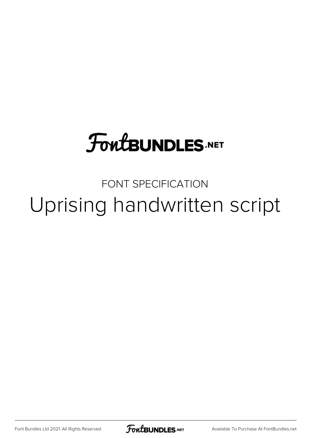## **FoutBUNDLES.NET**

FONT SPECIFICATION Uprising handwritten script

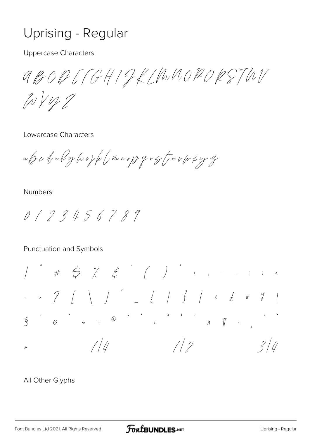## Uprising - Regular

**Uppercase Characters** 

aBCDEFGHIGKLMUORDRSTWV

 $10112$ 

Lowercase Characters

alj c d e l g (v i j l (, m v o p q r g t , w v (r x y z

**Numbers** 

 $0 / 2 3 4 5 6 7 8 9$ 

Punctuation and Symbols

 $\S$  $1/2$  $1/4$  $3/4$ ⋟

## All Other Glyphs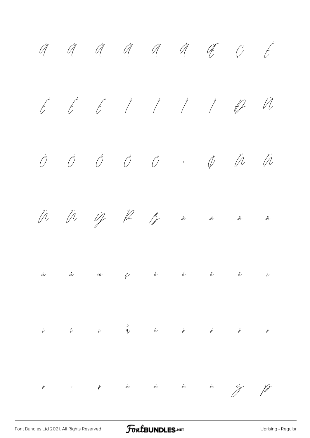$\dot{q}$   $\dot{q}$   $\dot{q}$   $\ddot{q}$   $\dot{q}$   $\ddot{q}$   $\ddot{q}$   $\ddot{q}$   $\ddot{q}$ É Ê Ë Ì Í Î Ï Ð Ñ Ò Ó Ô Õ Ö × Ø Ù Ú Û Ü Ý Þ ß à á â ã ä å æ ç è é ê ë ì  $\begin{array}{ccc} \hat{\nu} & \hat{\nu} & \hat{q} & \hat{\omega} & \hat{\sigma} & \hat{\sigma} & \hat{\sigma} \end{array}$  $\ddot{\sigma}$  ÷  $\phi$  à ú û û  $\frac{1}{2}$  f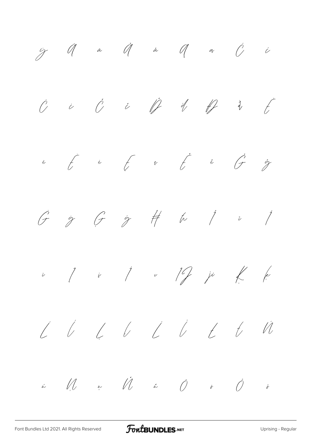$\ddot{y}$   $\ddot{q}$  a  $\ddot{q}$  a  $\ddot{q}$  a  $\ddot{q}$  i  $\ddot{c}$  $\int_{0}^{1}$  $\check{\mathcal{C}}$  $\hat{C}$  $\sqrt[3]{\frac{4}{5}}$  $\bigg\downarrow$  $\dot{\nu}$  $\overrightarrow{t}$  is  $\overrightarrow{t}$  if  $\overrightarrow{c}$  if  $\overrightarrow{d}$  $\mathscr{Z}$  $\tilde{e}$  $\frac{1}{2}$  #  $\frac{1}{2}$   $\frac{1}{2}$   $\frac{1}{2}$  $\int$  $\hat{z}$  $\overrightarrow{C}$  $\begin{array}{ccc} & i & j & v & 1 \end{array}$  $\begin{matrix} \begin{matrix} 1 & 1 \\ 1 & 1 \end{matrix} & \begin{matrix} 1 & 1 \\ 1 & 1 \end{matrix} & \begin{matrix} 1 & 1 \\ 1 & 1 \end{matrix} & \begin{matrix} 1 & 1 \\ 1 & 1 \end{matrix} & \begin{matrix} 1 & 1 \\ 1 & 1 \end{matrix} & \begin{matrix} 1 & 1 \\ 1 & 1 \end{matrix} & \begin{matrix} 1 & 1 \\ 1 & 1 \end{matrix} & \begin{matrix} 1 & 1 \\ 1 & 1 \end{matrix} & \begin{matrix} 1 & 1 \\ 1 & 1 \end{matrix} & \begin{matrix} 1 & 1 \\ 1 & 1 \$  $\bar{\nu}$  $\bigvee$  $\begin{array}{ccc} \begin{array}{ccc} \sim & \text{if} & \text{if} & \text{if} & \text{if} & \text{if} & \text{if} & \text{if} & \text{if} & \text{if} & \text{if} & \text{if} & \text{if} & \text{if} & \text{if} & \text{if} & \text{if} & \text{if} & \text{if} & \text{if} & \text{if} & \text{if} & \text{if} & \text{if} & \text{if} & \text{if} & \text{if} & \text{if} & \text{if} & \text{if} & \text{if} & \text{if} & \text{if} & \text{if} & \text{if}$  $\mathbb{N}$  $\mu$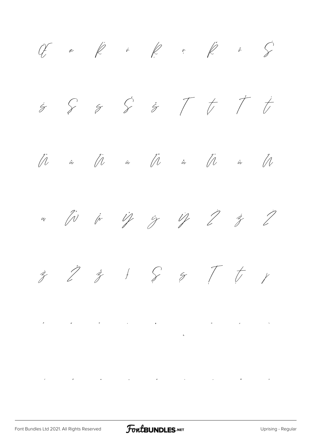$CF$  æ  $K$  *ř*  $R$  ř  $R$  ř  $S$  $\dot{s}$   $\delta$   $\dot{s}$   $\ddot{\delta}$   $\ddot{\delta}$   $\ddot{\delta}$   $\ddot{\delta}$  $\hat{\mu}$  *ŭ*  $\hat{\mu}$  *ŭ*  $\hat{\mu}$  *ŭ*  $\hat{\mu}$  *ŭ*  $\hat{\mu}$  $w$   $\hat{w}$   $\hat{w}$   $\hat{v}$   $\hat{y}$   $\hat{y}$   $\hat{y}$   $\hat{z}$   $\hat{z}$  $\hat{z}$   $\hat{z}$   $\hat{z}$   $\hat{z}$   $\hat{z}$   $\hat{z}$   $\hat{z}$   $\hat{z}$   $\hat{z}$ ˆ ˇ ˘ ˙ ˚ ˛ ˜ ˝ ̀  $\hat{f}$   $\hat{f}$   $\hat{f}$   $\hat{f}$   $\hat{f}$   $\hat{f}$   $\hat{f}$   $\hat{f}$   $\hat{f}$   $\hat{f}$   $\hat{f}$   $\hat{f}$   $\hat{f}$   $\hat{f}$   $\hat{f}$   $\hat{f}$   $\hat{f}$   $\hat{f}$   $\hat{f}$   $\hat{f}$   $\hat{f}$   $\hat{f}$   $\hat{f}$   $\hat{f}$   $\hat{f}$   $\hat{f}$   $\hat{f}$   $\hat{f$